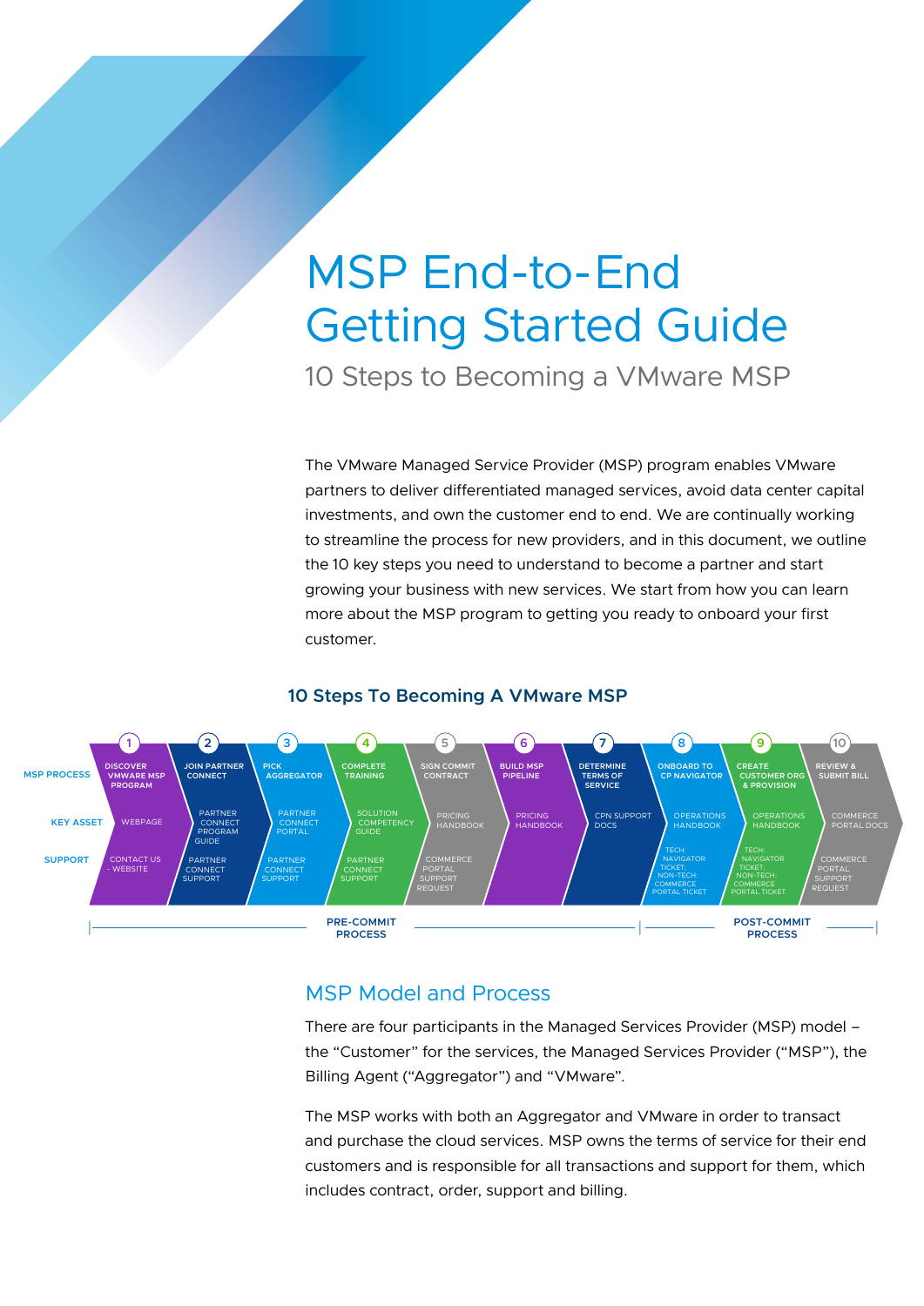# MSP End-to-End Getting Started Guide 10 Steps to Becoming a VMware MSP

The VMware Managed Service Provider (MSP) program enables VMware partners to deliver differentiated managed services, avoid data center capital investments, and own the customer end to end. We are continually working to streamline the process for new providers, and in this document, we outline the 10 key steps you need to understand to become a partner and start growing your business with new services. We start from how you can learn more about the MSP program to getting you ready to onboard your first customer.





# MSP Model and Process

There are four participants in the Managed Services Provider (MSP) model – the "Customer" for the services, the Managed Services Provider ("MSP"), the Billing Agent ("Aggregator") and "VMware".

The MSP works with both an Aggregator and VMware in order to transact and purchase the cloud services. MSP owns the terms of service for their end customers and is responsible for all transactions and support for them, which includes contract, order, support and billing.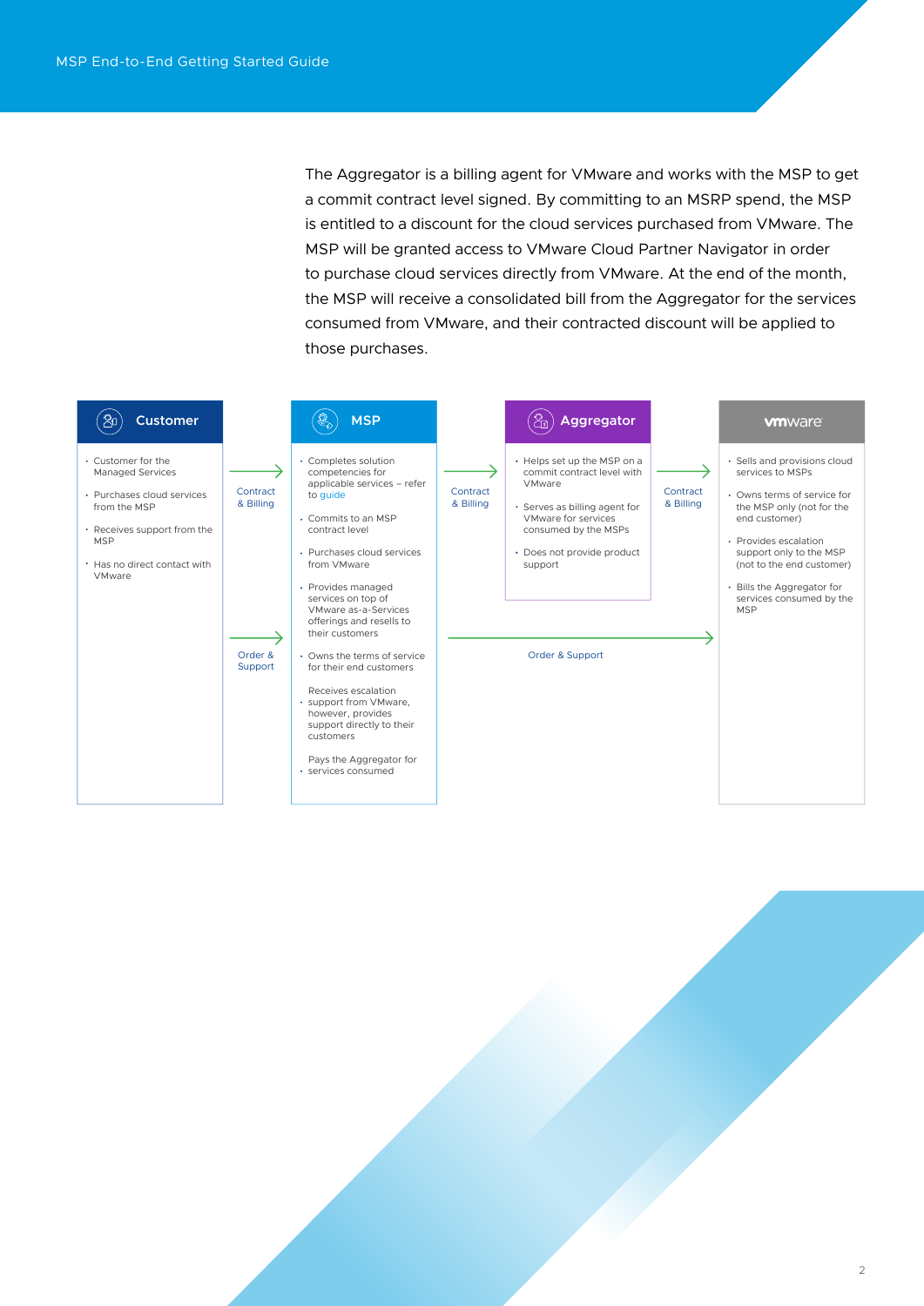The Aggregator is a billing agent for VMware and works with the MSP to get a commit contract level signed. By committing to an MSRP spend, the MSP is entitled to a discount for the cloud services purchased from VMware. The MSP will be granted access to VMware Cloud Partner Navigator in order to purchase cloud services directly from VMware. At the end of the month, the MSP will receive a consolidated bill from the Aggregator for the services consumed from VMware, and their contracted discount will be applied to those purchases.

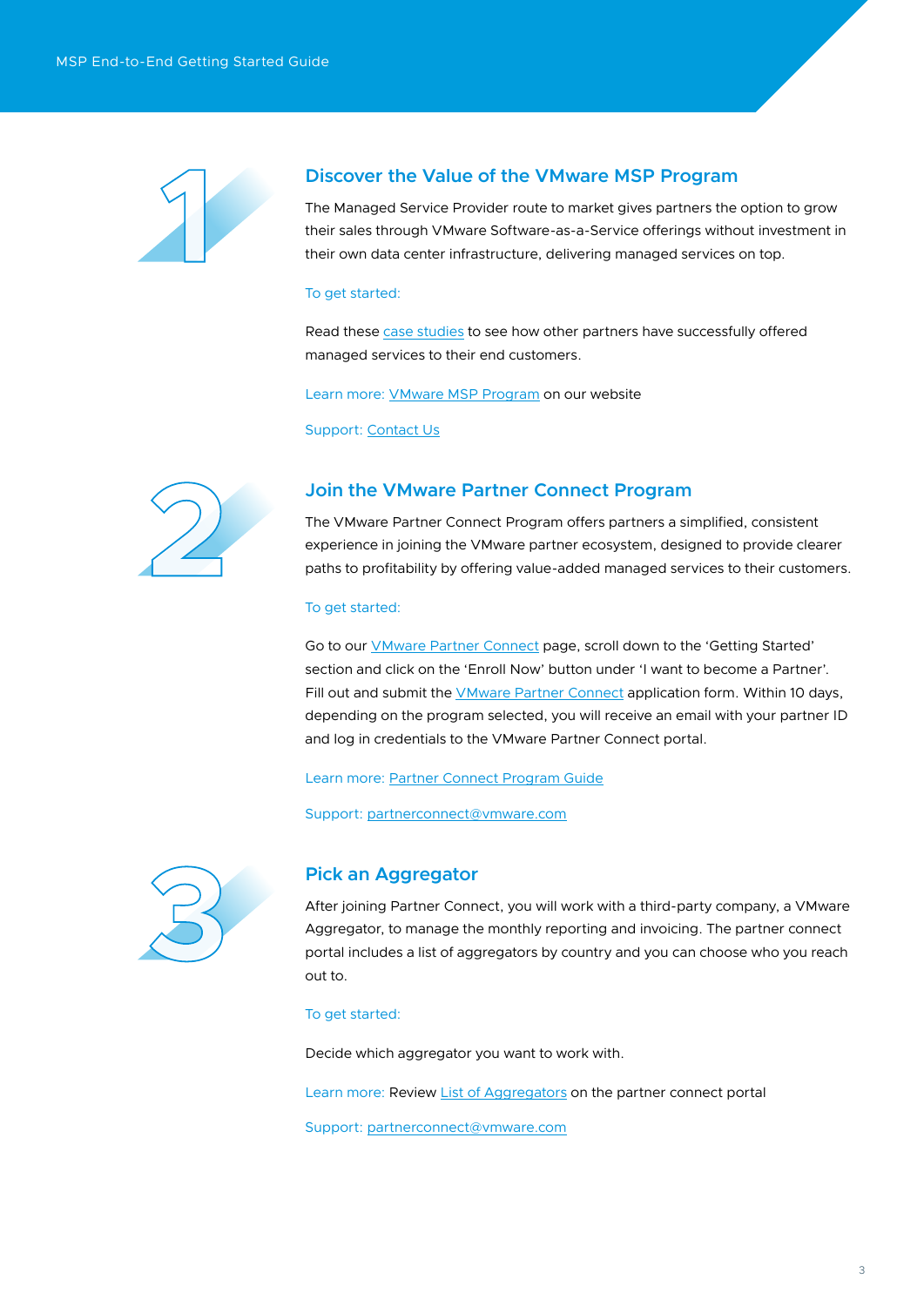

## **Discover the Value of the VMware MSP Program**

The Managed Service Provider route to market gives partners the option to grow their sales through VMware Software-as-a-Service offerings without investment in their own data center infrastructure, delivering managed services on top.

#### To get started:

Read these [case studies](https://cloudsolutions.vmware.com/resources.html?resource=resource-listing-cloud-solutions%3Acase-study) to see how other partners have successfully offered managed services to their end customers.

Learn more: [VMware MSP Program](https://cloudsolutions.vmware.com/managed-service-provider.html) on our website

Support: [Contact Us](https://www.vmware.com/company/contact_sales.html)



## **Join the VMware Partner Connect Program**

The VMware Partner Connect Program offers partners a simplified, consistent experience in joining the VMware partner ecosystem, designed to provide clearer paths to profitability by offering value-added managed services to their customers.

## To get started:

Go to our *VMware Partner Connect* page, scroll down to the 'Getting Started' section and click on the 'Enroll Now' button under 'I want to become a Partner'. Fill out and submit the *[VMware Partner Connect](https://vmstarcommunity.force.com/partnerconnect/PC_PartnerEnrollmentForm)* application form. Within 10 days, depending on the program selected, you will receive an email with your partner ID and log in credentials to the VMware Partner Connect portal.

Learn more: [Partner Connect Program Guide](https://vmstarcommunity.force.com/partnerconnect/PC_Login?ec=302&startURL=%2Fpartnerconnect%2Fs%2Fcontentdocument%2F0692H000003sVqQ)

Support: [partnerconnect@vmware.com](mailto:partnerconnect%40vmware.com?subject=)



## **Pick an Aggregator**

After joining Partner Connect, you will work with a third-party company, a VMware Aggregator, to manage the monthly reporting and invoicing. The partner connect portal includes a list of aggregators by country and you can choose who you reach out to.

#### To get started:

Decide which aggregator you want to work with.

Learn more: Review [List of Aggregators](https://vmstarcommunity.force.com/partnerconnect/PC_Login?ec=302&startURL=%2Fpartnerconnect%2Fs%2Fpc-distributorlocator) on the partner connect portal

Support: [partnerconnect@vmware.com](mailto:partnerconnect%40vmware.com?subject=)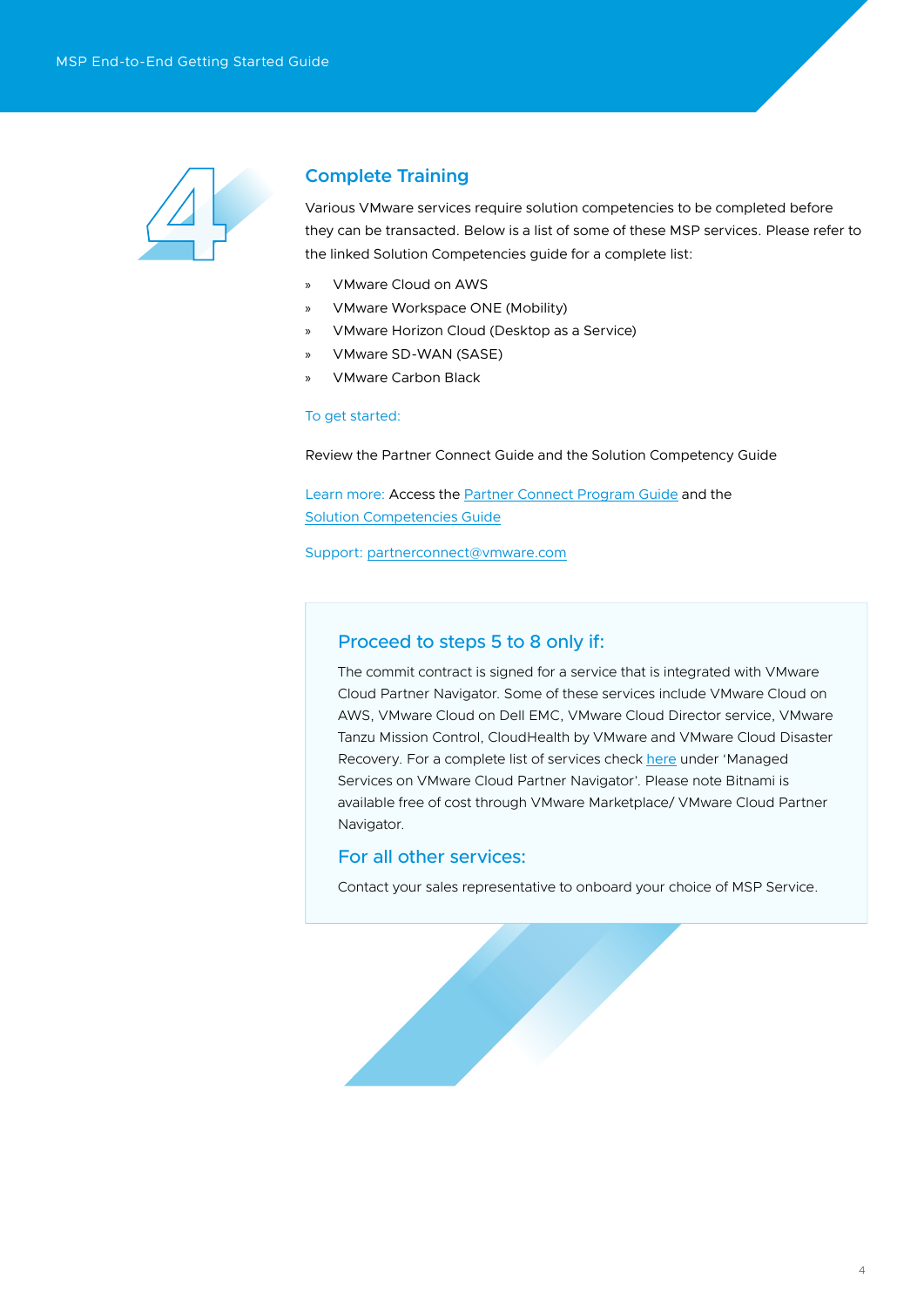

# **Complete Training**

Various VMware services require solution competencies to be completed before they can be transacted. Below is a list of some of these MSP services. Please refer to the linked Solution Competencies guide for a complete list:

- » VMware Cloud on AWS
- » VMware Workspace ONE (Mobility)
- » VMware Horizon Cloud (Desktop as a Service)
- » VMware SD-WAN (SASE)
- » VMware Carbon Black

## To get started:

Review the Partner Connect Guide and the Solution Competency Guide

Learn more: Access the [Partner Connect Program Guide](https://vmstarcommunity.force.com/partnerconnect/s/contentdocument/0692H000003sVqQ) and the [Solution Competencies Guide](https://vmstarcommunity.force.com/partnerconnect/PC_Login?ec=302&startURL=%2Fpartnerconnect%2Fs%2Fcontentdocument%2F069800000009p2S)

Support: [partnerconnect@vmware.com](mailto:partnerconnect%40vmware.com?subject=)

## Proceed to steps 5 to 8 only if:

The commit contract is signed for a service that is integrated with VMware Cloud Partner Navigator. Some of these services include VMware Cloud on AWS, VMware Cloud on Dell EMC, VMware Cloud Director service, VMware Tanzu Mission Control, CloudHealth by VMware and VMware Cloud Disaster Recovery. For a complete list of services check [here](https://cloudsolutions.vmware.com/services.html) under 'Managed Services on VMware Cloud Partner Navigator'. Please note Bitnami is available free of cost through VMware Marketplace/ VMware Cloud Partner Navigator.

## For all other services:

Contact your sales representative to onboard your choice of MSP Service.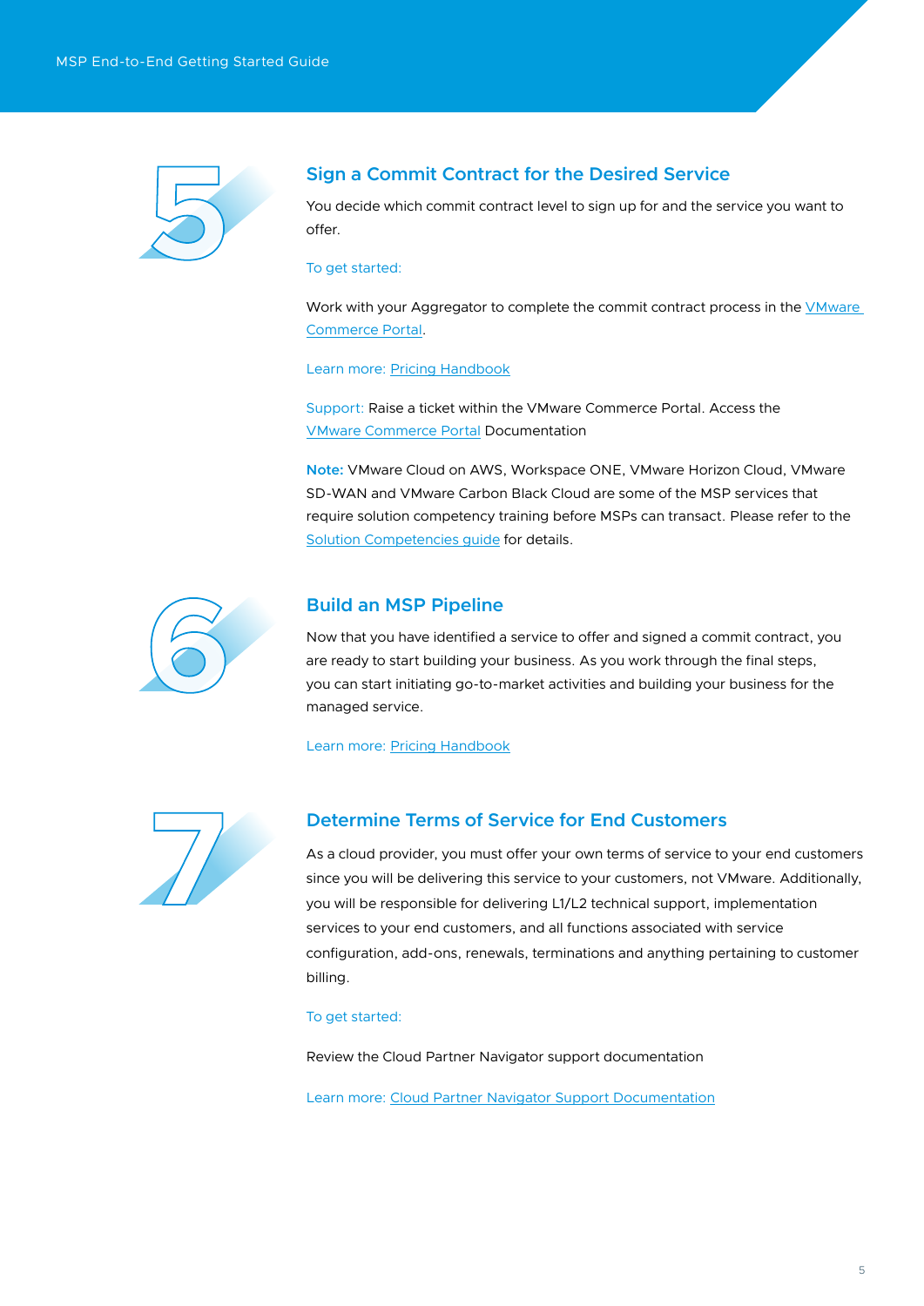

# **Sign a Commit Contract for the Desired Service**

You decide which commit contract level to sign up for and the service you want to offer.

## To get started:

Work with your Aggregator to complete the commit contract process in the VMware [Commerce Portal](https://vcp.vmware.com/login).

Learn more: [Pricing Handbook](https://vmstarcommunity.force.com/partnerconnect/PC_Login?ec=302&startURL=%2Fpartnerconnect%2Fs%2Fcontentdocument%2F0692H0000056KvW)

Support: Raise a ticket within the VMware Commerce Portal. Access the [VMware Commerce Portal](https://docs.vmware.com/en/VMware-Cloud-Provider-Commerce-Portal/index.html) Documentation

**Note:** VMware Cloud on AWS, Workspace ONE, VMware Horizon Cloud, VMware SD-WAN and VMware Carbon Black Cloud are some of the MSP services that require solution competency training before MSPs can transact. Please refer to the [Solution Competencies guide](https://vmstarcommunity.force.com/partnerconnect/PC_Login?ec=302&startURL=%2Fpartnerconnect%2Fs%2Fcontentdocument%2F069800000009p2S) for details.



## **Build an MSP Pipeline**

Now that you have identified a service to offer and signed a commit contract, you are ready to start building your business. As you work through the final steps, you can start initiating go-to-market activities and building your business for the managed service.

Learn more: [Pricing Handbook](https://vmstarcommunity.force.com/partnerconnect/PC_Login?ec=302&startURL=%2Fpartnerconnect%2Fs%2Fcontentdocument%2F0692H0000056KvW)



# **Determine Terms of Service for End Customers**

As a cloud provider, you must offer your own terms of service to your end customers since you will be delivering this service to your customers, not VMware. Additionally, you will be responsible for delivering L1/L2 technical support, implementation services to your end customers, and all functions associated with service configuration, add-ons, renewals, terminations and anything pertaining to customer billing.

#### To get started:

Review the Cloud Partner Navigator support documentation

Learn more: [Cloud Partner Navigator Support Documentation](https://docs.vmware.com/en/VMware-Cloud-Partner-Navigator/services/Cloud-Partner-Navigator-Using-Provider/GUID-8F839C93-88EE-495E-9A6C-834416E3A77E.html)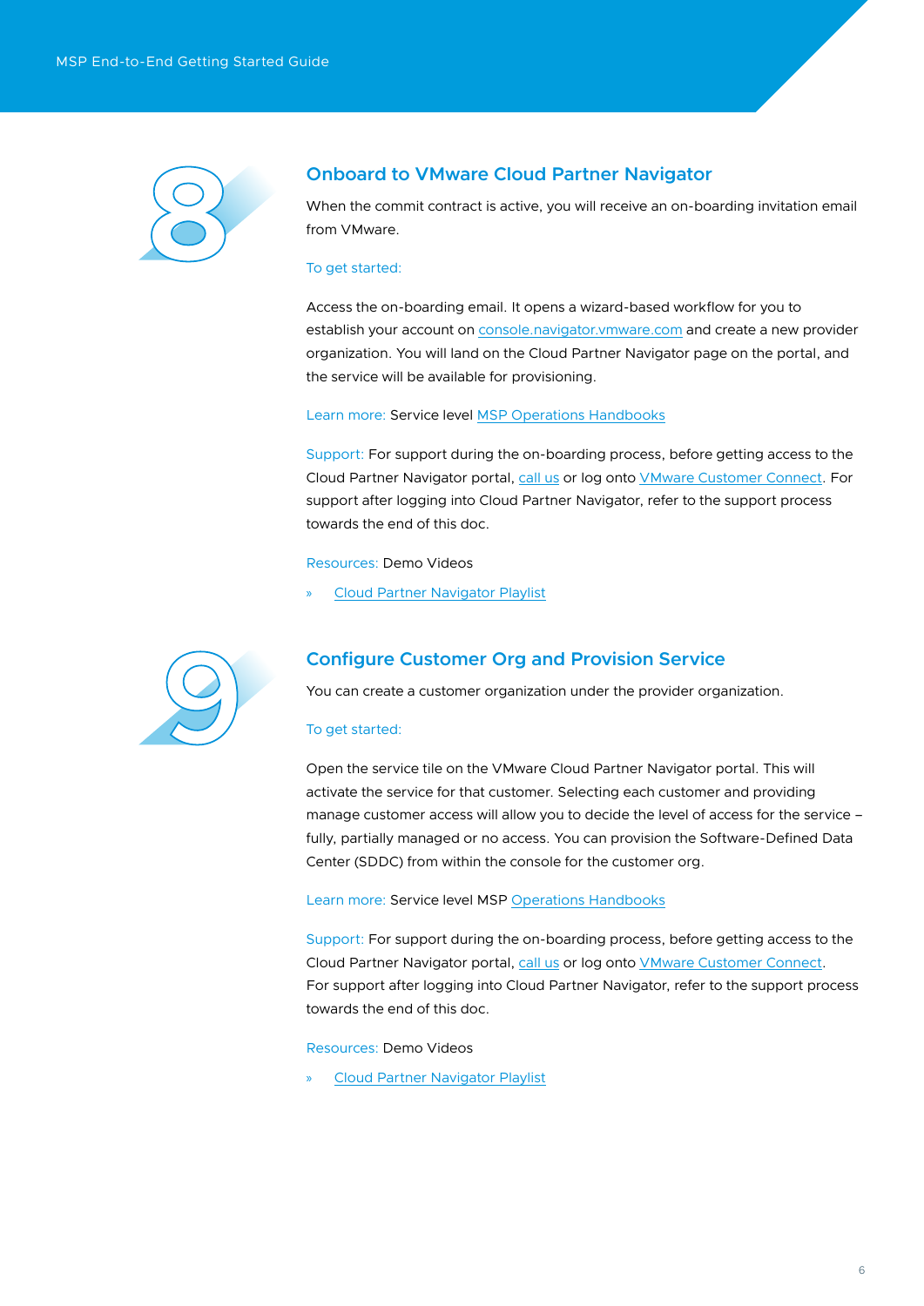

# **Onboard to VMware Cloud Partner Navigator**

When the commit contract is active, you will receive an on-boarding invitation email from VMware.

## To get started:

Access the on-boarding email. It opens a wizard-based workflow for you to establish your account on [console.navigator.vmware.com](https://console.cloud.vmware.com/csp/gateway/discovery?response_type=code&client_id=cphub-csp-service-client-v4-vdp-pkce&redirect_uri=https%3A%2F%2Fconsole.navigator.vmware.com%2Fportal&scope=csp%3Aorg_owner+csp%3Aplatform_operator+csp%3Amsp_user+customer_number+openid+csp%3Asupport_user+csp%3Aorg_member+csp%3Aservice_owner&state=eyJhbGciOiJub25lIiwidHlwIjoiSldUIn0.eyJ0YXJnZXRfbGlua191cmkiOiJodHRwczovL2NvbnNvbGUubmF2aWdhdG9yLnZtd2FyZS5jb20vcG9ydGFsLyIsInJmcCI6IlRGQVhwU2pxQkVoZmxVajlISmpwOWVtYmVQT0NXU0JOIiwiaWF0IjoxNjUwNjEzODkzLCJleHAiOjE2NTA2MTQxOTMsImlzcyI6ImNvbnNvbGUubmF2aWdhdG9yLnZtd2FyZS5jb20iLCJhdWQiOiJjcGh1Yi1jc3Atc2VydmljZS1jbGllbnQtdjQtdmRwLXBrY2UiLCJhcyI6Imh0dHBzOi8vY29uc29sZS5jbG91ZC52bXdhcmUuY29tIn0.&code_challenge=eE7kJqtvNPZtBwG3SvEFHEZ8uLJ8mGaEQ0zJNCISaRQ&code_challenge_method=S256) and create a new provider organization. You will land on the Cloud Partner Navigator page on the portal, and the service will be available for provisioning.

## Learn more: Service level [MSP Operations Handbooks](https://vmstarcommunity.force.com/partnerconnect/s/cloud-partner-navigator)

Support: For support during the on-boarding process, before getting access to the Cloud Partner Navigator portal, [call us](https://www.vmware.com/support/contacts/us_support.html) or log onto [VMware Customer Connect.](https://customerconnect.vmware.com/home?bmctx=89E60DF848C641FD518EB9F6B9A6E5334F602FA3A762B409625CD531863AC847&contextType=external&username=string&password=secure_string&challenge_url=https%3A%2F%2Fcustomerconnect.vmware.com%2Fhome&request_id=2713269489323094414&authn_try_count=0&locale=en_GB&resource_url=https%253A%252F%252Fcustomerconnect.vmware.com%252Fweb%252Fvmware%252Fchecksession) For support after logging into Cloud Partner Navigator, refer to the support process towards the end of this doc.

## Resources: Demo Videos

» [Cloud Partner Navigator Playlist](https://www.youtube.com/playlist?list=PLunwH0gjkUBgYD0pxuy345NjFnHkEz_Ka)



# **Configure Customer Org and Provision Service**

You can create a customer organization under the provider organization.

## To get started:

Open the service tile on the VMware Cloud Partner Navigator portal. This will activate the service for that customer. Selecting each customer and providing manage customer access will allow you to decide the level of access for the service – fully, partially managed or no access. You can provision the Software-Defined Data Center (SDDC) from within the console for the customer org.

Learn more: Service level MSP [Operations Handbooks](https://vmstarcommunity.force.com/partnerconnect/s/cloud-partner-navigator)

Support: For support during the on-boarding process, before getting access to the Cloud Partner Navigator portal, [call us](https://www.vmware.com/support/contacts/us_support.html) or log onto [VMware Customer Connect.](https://customerconnect.vmware.com/home?bmctx=89E60DF848C641FD518EB9F6B9A6E5334F602FA3A762B409625CD531863AC847&contextType=external&username=string&password=secure_string&challenge_url=https:%2F%2Fcustomerconnect.vmware.com%2Fhome&request_id=8544225886166126316&authn_try_count=0&locale=en_US&resource_url=https%253A%252F%252Fcustomerconnect.vmware.com%252Fweb%252Fvmware%252Fchecksession) For support after logging into Cloud Partner Navigator, refer to the support process towards the end of this doc.

Resources: Demo Videos

» [Cloud Partner Navigator Playlist](https://www.youtube.com/playlist?list=PLunwH0gjkUBgYD0pxuy345NjFnHkEz_Ka)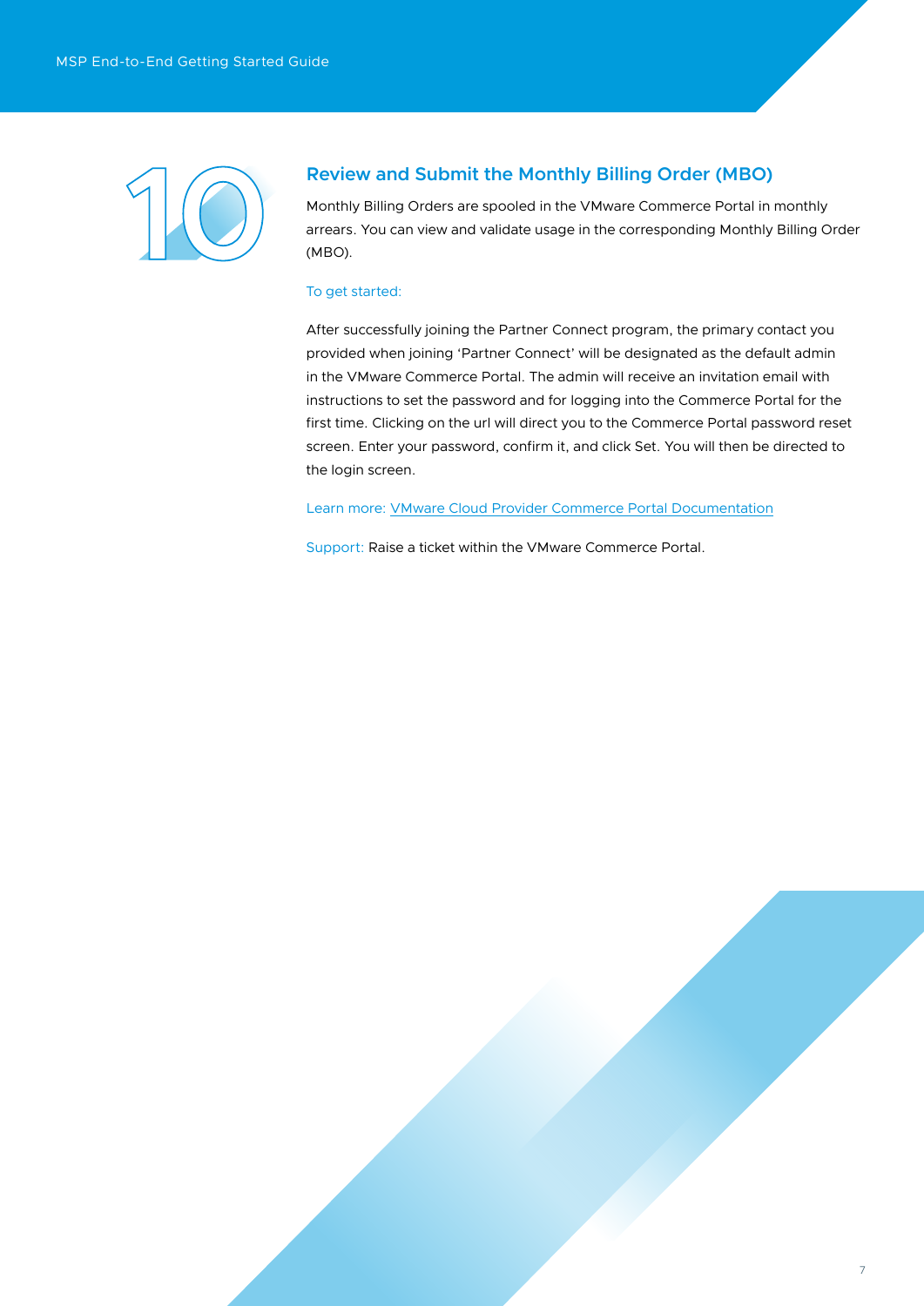

# **Review and Submit the Monthly Billing Order (MBO)**

Monthly Billing Orders are spooled in the VMware Commerce Portal in monthly arrears. You can view and validate usage in the corresponding Monthly Billing Order (MBO).

## To get started:

After successfully joining the Partner Connect program, the primary contact you provided when joining 'Partner Connect' will be designated as the default admin in the VMware Commerce Portal. The admin will receive an invitation email with instructions to set the password and for logging into the Commerce Portal for the first time. Clicking on the url will direct you to the Commerce Portal password reset screen. Enter your password, confirm it, and click Set. You will then be directed to the login screen.

#### Learn more: [VMware Cloud Provider Commerce Portal Documentation](https://docs.vmware.com/en/VMware-Cloud-Provider-Commerce-Portal/index.html)

Support: Raise a ticket within the VMware Commerce Portal.